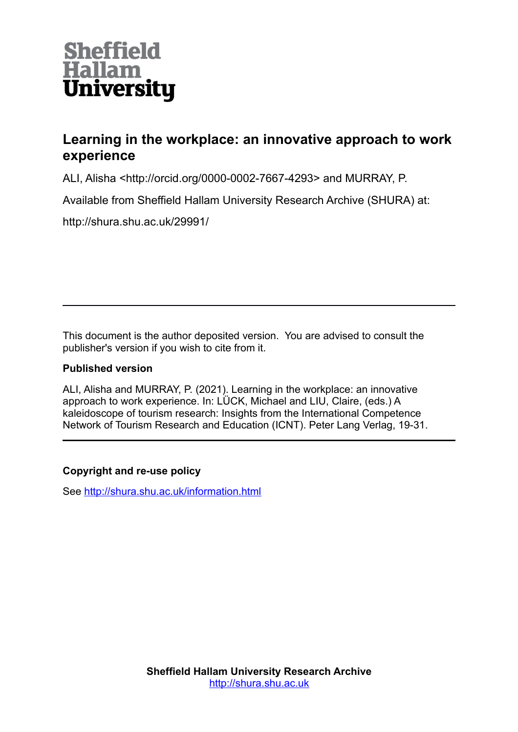

## **Learning in the workplace: an innovative approach to work experience**

ALI, Alisha <http://orcid.org/0000-0002-7667-4293> and MURRAY, P.

Available from Sheffield Hallam University Research Archive (SHURA) at:

http://shura.shu.ac.uk/29991/

This document is the author deposited version. You are advised to consult the publisher's version if you wish to cite from it.

#### **Published version**

ALI, Alisha and MURRAY, P. (2021). Learning in the workplace: an innovative approach to work experience. In: LÜCK, Michael and LIU, Claire, (eds.) A kaleidoscope of tourism research: Insights from the International Competence Network of Tourism Research and Education (ICNT). Peter Lang Verlag, 19-31.

#### **Copyright and re-use policy**

See<http://shura.shu.ac.uk/information.html>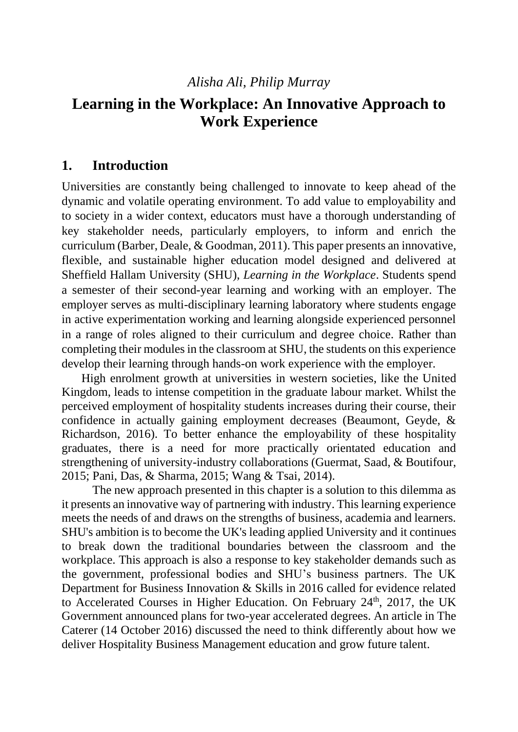## *Alisha Ali, Philip Murray*

# **Learning in the Workplace: An Innovative Approach to Work Experience**

### **1. Introduction**

Universities are constantly being challenged to innovate to keep ahead of the dynamic and volatile operating environment. To add value to employability and to society in a wider context, educators must have a thorough understanding of key stakeholder needs, particularly employers, to inform and enrich the curriculum (Barber, Deale, & Goodman, 2011). This paper presents an innovative, flexible, and sustainable higher education model designed and delivered at Sheffield Hallam University (SHU), *Learning in the Workplace*. Students spend a semester of their second-year learning and working with an employer. The employer serves as multi-disciplinary learning laboratory where students engage in active experimentation working and learning alongside experienced personnel in a range of roles aligned to their curriculum and degree choice. Rather than completing their modules in the classroom at SHU, the students on this experience develop their learning through hands-on work experience with the employer.

High enrolment growth at universities in western societies, like the United Kingdom, leads to intense competition in the graduate labour market. Whilst the perceived employment of hospitality students increases during their course, their confidence in actually gaining employment decreases (Beaumont, Geyde, & Richardson, 2016). To better enhance the employability of these hospitality graduates, there is a need for more practically orientated education and strengthening of university-industry collaborations (Guermat, Saad, & Boutifour, 2015; Pani, Das, & Sharma, 2015; Wang & Tsai, 2014).

The new approach presented in this chapter is a solution to this dilemma as it presents an innovative way of partnering with industry. This learning experience meets the needs of and draws on the strengths of business, academia and learners. SHU's ambition is to become the UK's leading applied University and it continues to break down the traditional boundaries between the classroom and the workplace. This approach is also a response to key stakeholder demands such as the government, professional bodies and SHU's business partners. The UK Department for Business Innovation & Skills in 2016 called for evidence related to Accelerated Courses in Higher Education. On February  $24<sup>th</sup>$ ,  $2017$ , the UK Government announced plans for two-year accelerated degrees. An article in The Caterer (14 October 2016) discussed the need to think differently about how we deliver Hospitality Business Management education and grow future talent.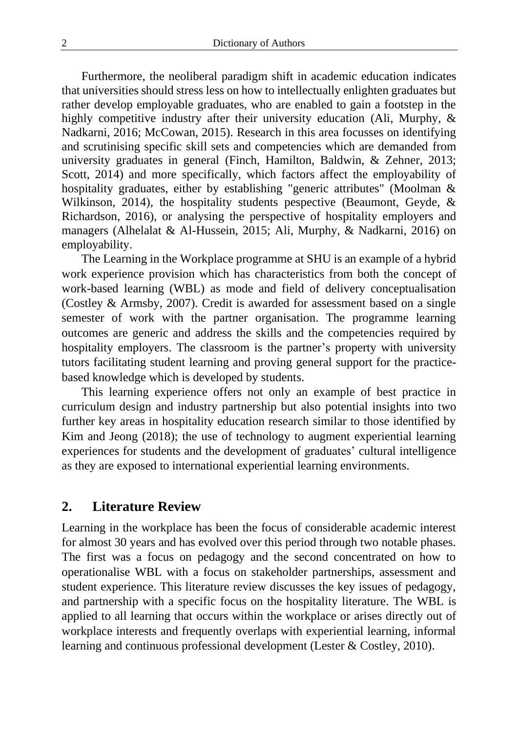Furthermore, the neoliberal paradigm shift in academic education indicates that universities should stress less on how to intellectually enlighten graduates but rather develop employable graduates, who are enabled to gain a footstep in the highly competitive industry after their university education (Ali, Murphy, & Nadkarni, 2016; McCowan, 2015). Research in this area focusses on identifying and scrutinising specific skill sets and competencies which are demanded from university graduates in general (Finch, Hamilton, Baldwin, & Zehner, 2013; Scott, 2014) and more specifically, which factors affect the employability of hospitality graduates, either by establishing "generic attributes" (Moolman & Wilkinson, 2014), the hospitality students pespective (Beaumont, Geyde, & Richardson, 2016), or analysing the perspective of hospitality employers and managers (Alhelalat & Al-Hussein, 2015; Ali, Murphy, & Nadkarni, 2016) on employability.

The Learning in the Workplace programme at SHU is an example of a hybrid work experience provision which has characteristics from both the concept of work-based learning (WBL) as mode and field of delivery conceptualisation (Costley & Armsby, 2007). Credit is awarded for assessment based on a single semester of work with the partner organisation. The programme learning outcomes are generic and address the skills and the competencies required by hospitality employers. The classroom is the partner's property with university tutors facilitating student learning and proving general support for the practicebased knowledge which is developed by students.

This learning experience offers not only an example of best practice in curriculum design and industry partnership but also potential insights into two further key areas in hospitality education research similar to those identified by Kim and Jeong (2018); the use of technology to augment experiential learning experiences for students and the development of graduates' cultural intelligence as they are exposed to international experiential learning environments.

#### **2. Literature Review**

Learning in the workplace has been the focus of considerable academic interest for almost 30 years and has evolved over this period through two notable phases. The first was a focus on pedagogy and the second concentrated on how to operationalise WBL with a focus on stakeholder partnerships, assessment and student experience. This literature review discusses the key issues of pedagogy, and partnership with a specific focus on the hospitality literature. The WBL is applied to all learning that occurs within the workplace or arises directly out of workplace interests and frequently overlaps with experiential learning, informal learning and continuous professional development (Lester & Costley, 2010).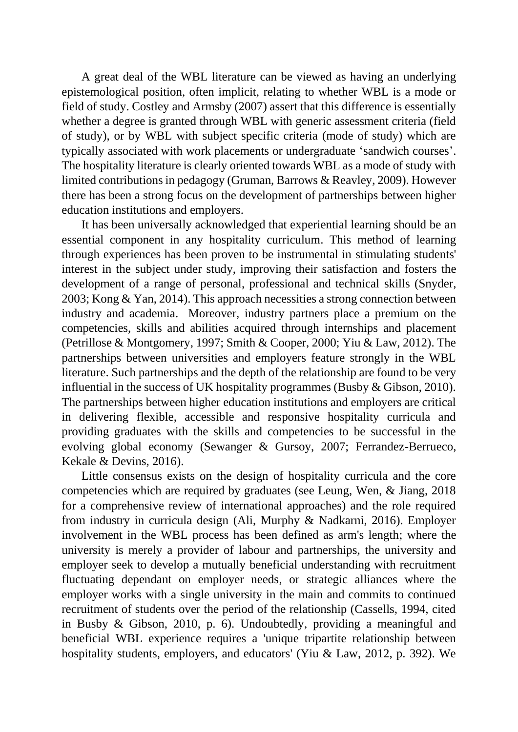A great deal of the WBL literature can be viewed as having an underlying epistemological position, often implicit, relating to whether WBL is a mode or field of study. Costley and Armsby (2007) assert that this difference is essentially whether a degree is granted through WBL with generic assessment criteria (field of study), or by WBL with subject specific criteria (mode of study) which are typically associated with work placements or undergraduate 'sandwich courses'. The hospitality literature is clearly oriented towards WBL as a mode of study with limited contributions in pedagogy (Gruman, Barrows & Reavley, 2009). However there has been a strong focus on the development of partnerships between higher education institutions and employers.

It has been universally acknowledged that experiential learning should be an essential component in any hospitality curriculum. This method of learning through experiences has been proven to be instrumental in stimulating students' interest in the subject under study, improving their satisfaction and fosters the development of a range of personal, professional and technical skills (Snyder, 2003; Kong & Yan, 2014). This approach necessities a strong connection between industry and academia. Moreover, industry partners place a premium on the competencies, skills and abilities acquired through internships and placement (Petrillose & Montgomery, 1997; Smith & Cooper, 2000; Yiu & Law, 2012). The partnerships between universities and employers feature strongly in the WBL literature. Such partnerships and the depth of the relationship are found to be very influential in the success of UK hospitality programmes (Busby & Gibson, 2010). The partnerships between higher education institutions and employers are critical in delivering flexible, accessible and responsive hospitality curricula and providing graduates with the skills and competencies to be successful in the evolving global economy (Sewanger & Gursoy, 2007; Ferrandez-Berrueco, Kekale & Devins, 2016).

Little consensus exists on the design of hospitality curricula and the core competencies which are required by graduates (see Leung, Wen, & Jiang, 2018 for a comprehensive review of international approaches) and the role required from industry in curricula design (Ali, Murphy & Nadkarni, 2016). Employer involvement in the WBL process has been defined as arm's length; where the university is merely a provider of labour and partnerships, the university and employer seek to develop a mutually beneficial understanding with recruitment fluctuating dependant on employer needs, or strategic alliances where the employer works with a single university in the main and commits to continued recruitment of students over the period of the relationship (Cassells, 1994, cited in Busby & Gibson, 2010, p. 6). Undoubtedly, providing a meaningful and beneficial WBL experience requires a 'unique tripartite relationship between hospitality students, employers, and educators' (Yiu & Law, 2012, p. 392). We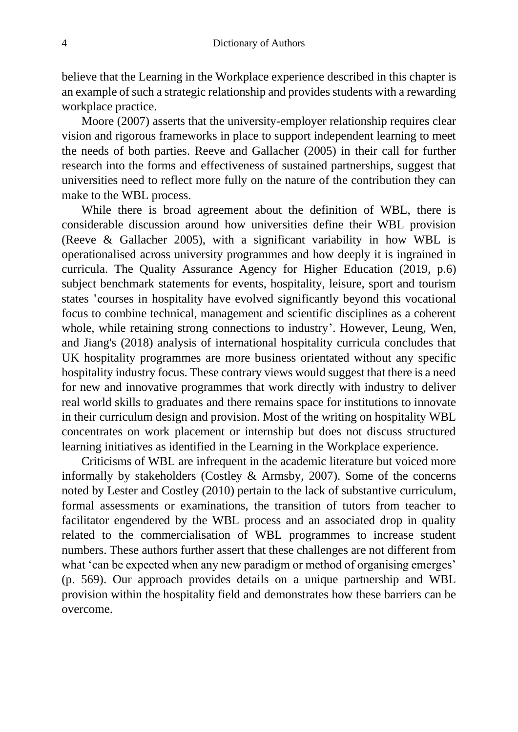believe that the Learning in the Workplace experience described in this chapter is an example of such a strategic relationship and provides students with a rewarding workplace practice.

Moore (2007) asserts that the university-employer relationship requires clear vision and rigorous frameworks in place to support independent learning to meet the needs of both parties. Reeve and Gallacher (2005) in their call for further research into the forms and effectiveness of sustained partnerships, suggest that universities need to reflect more fully on the nature of the contribution they can make to the WBL process.

While there is broad agreement about the definition of WBL, there is considerable discussion around how universities define their WBL provision (Reeve & Gallacher 2005), with a significant variability in how WBL is operationalised across university programmes and how deeply it is ingrained in curricula. The Quality Assurance Agency for Higher Education (2019, p.6) subject benchmark statements for events, hospitality, leisure, sport and tourism states 'courses in hospitality have evolved significantly beyond this vocational focus to combine technical, management and scientific disciplines as a coherent whole, while retaining strong connections to industry'. However, Leung, Wen, and Jiang's (2018) analysis of international hospitality curricula concludes that UK hospitality programmes are more business orientated without any specific hospitality industry focus. These contrary views would suggest that there is a need for new and innovative programmes that work directly with industry to deliver real world skills to graduates and there remains space for institutions to innovate in their curriculum design and provision. Most of the writing on hospitality WBL concentrates on work placement or internship but does not discuss structured learning initiatives as identified in the Learning in the Workplace experience.

Criticisms of WBL are infrequent in the academic literature but voiced more informally by stakeholders (Costley & Armsby, 2007). Some of the concerns noted by Lester and Costley (2010) pertain to the lack of substantive curriculum, formal assessments or examinations, the transition of tutors from teacher to facilitator engendered by the WBL process and an associated drop in quality related to the commercialisation of WBL programmes to increase student numbers. These authors further assert that these challenges are not different from what 'can be expected when any new paradigm or method of organising emerges' (p. 569). Our approach provides details on a unique partnership and WBL provision within the hospitality field and demonstrates how these barriers can be overcome.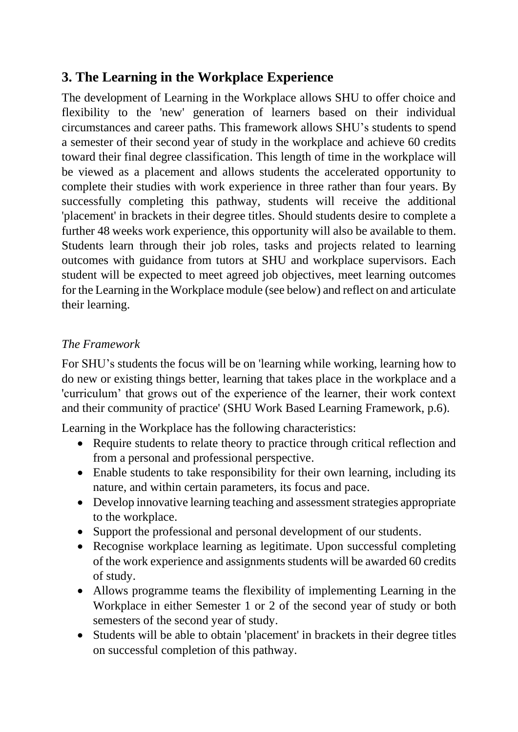# **3. The Learning in the Workplace Experience**

The development of Learning in the Workplace allows SHU to offer choice and flexibility to the 'new' generation of learners based on their individual circumstances and career paths. This framework allows SHU's students to spend a semester of their second year of study in the workplace and achieve 60 credits toward their final degree classification. This length of time in the workplace will be viewed as a placement and allows students the accelerated opportunity to complete their studies with work experience in three rather than four years. By successfully completing this pathway, students will receive the additional 'placement' in brackets in their degree titles. Should students desire to complete a further 48 weeks work experience, this opportunity will also be available to them. Students learn through their job roles, tasks and projects related to learning outcomes with guidance from tutors at SHU and workplace supervisors. Each student will be expected to meet agreed job objectives, meet learning outcomes for the Learning in the Workplace module (see below) and reflect on and articulate their learning.

## *The Framework*

For SHU's students the focus will be on 'learning while working, learning how to do new or existing things better, learning that takes place in the workplace and a 'curriculum' that grows out of the experience of the learner, their work context and their community of practice' (SHU Work Based Learning Framework, p.6).

Learning in the Workplace has the following characteristics:

- Require students to relate theory to practice through critical reflection and from a personal and professional perspective.
- Enable students to take responsibility for their own learning, including its nature, and within certain parameters, its focus and pace.
- Develop innovative learning teaching and assessment strategies appropriate to the workplace.
- Support the professional and personal development of our students.
- Recognise workplace learning as legitimate. Upon successful completing of the work experience and assignments students will be awarded 60 credits of study.
- Allows programme teams the flexibility of implementing Learning in the Workplace in either Semester 1 or 2 of the second year of study or both semesters of the second year of study.
- Students will be able to obtain 'placement' in brackets in their degree titles on successful completion of this pathway.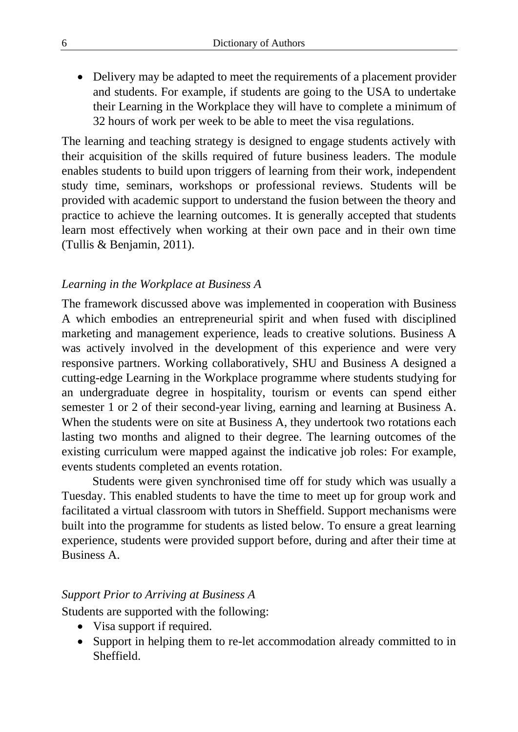• Delivery may be adapted to meet the requirements of a placement provider and students. For example, if students are going to the USA to undertake their Learning in the Workplace they will have to complete a minimum of 32 hours of work per week to be able to meet the visa regulations.

The learning and teaching strategy is designed to engage students actively with their acquisition of the skills required of future business leaders. The module enables students to build upon triggers of learning from their work, independent study time, seminars, workshops or professional reviews. Students will be provided with academic support to understand the fusion between the theory and practice to achieve the learning outcomes. It is generally accepted that students learn most effectively when working at their own pace and in their own time (Tullis & Benjamin, 2011).

#### *Learning in the Workplace at Business A*

The framework discussed above was implemented in cooperation with Business A which embodies an entrepreneurial spirit and when fused with disciplined marketing and management experience, leads to creative solutions. Business A was actively involved in the development of this experience and were very responsive partners. Working collaboratively, SHU and Business A designed a cutting-edge Learning in the Workplace programme where students studying for an undergraduate degree in hospitality, tourism or events can spend either semester 1 or 2 of their second-year living, earning and learning at Business A. When the students were on site at Business A, they undertook two rotations each lasting two months and aligned to their degree. The learning outcomes of the existing curriculum were mapped against the indicative job roles: For example, events students completed an events rotation.

Students were given synchronised time off for study which was usually a Tuesday. This enabled students to have the time to meet up for group work and facilitated a virtual classroom with tutors in Sheffield. Support mechanisms were built into the programme for students as listed below. To ensure a great learning experience, students were provided support before, during and after their time at Business A.

#### *Support Prior to Arriving at Business A*

Students are supported with the following:

- Visa support if required.
- Support in helping them to re-let accommodation already committed to in Sheffield.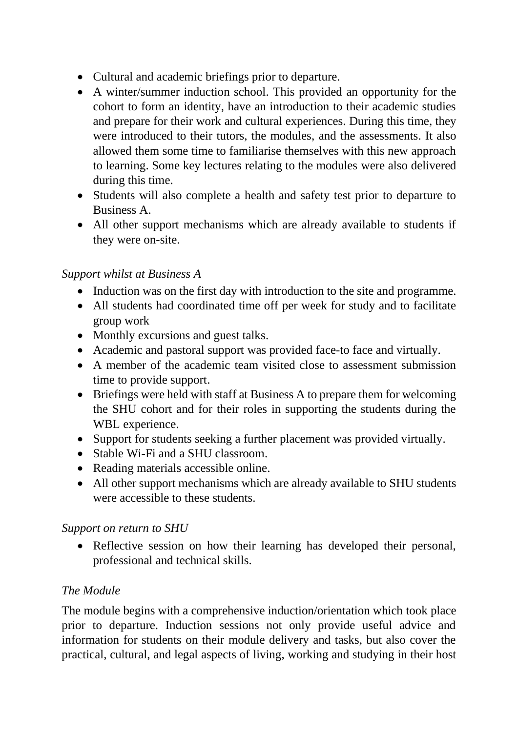- Cultural and academic briefings prior to departure.
- A winter/summer induction school. This provided an opportunity for the cohort to form an identity, have an introduction to their academic studies and prepare for their work and cultural experiences. During this time, they were introduced to their tutors, the modules, and the assessments. It also allowed them some time to familiarise themselves with this new approach to learning. Some key lectures relating to the modules were also delivered during this time.
- Students will also complete a health and safety test prior to departure to Business A.
- All other support mechanisms which are already available to students if they were on-site.

## *Support whilst at Business A*

- Induction was on the first day with introduction to the site and programme.
- All students had coordinated time off per week for study and to facilitate group work
- Monthly excursions and guest talks.
- Academic and pastoral support was provided face-to face and virtually.
- A member of the academic team visited close to assessment submission time to provide support.
- Briefings were held with staff at Business A to prepare them for welcoming the SHU cohort and for their roles in supporting the students during the WBL experience.
- Support for students seeking a further placement was provided virtually.
- Stable Wi-Fi and a SHU classroom.
- Reading materials accessible online.
- All other support mechanisms which are already available to SHU students were accessible to these students.

## *Support on return to SHU*

• Reflective session on how their learning has developed their personal, professional and technical skills.

## *The Module*

The module begins with a comprehensive induction/orientation which took place prior to departure. Induction sessions not only provide useful advice and information for students on their module delivery and tasks, but also cover the practical, cultural, and legal aspects of living, working and studying in their host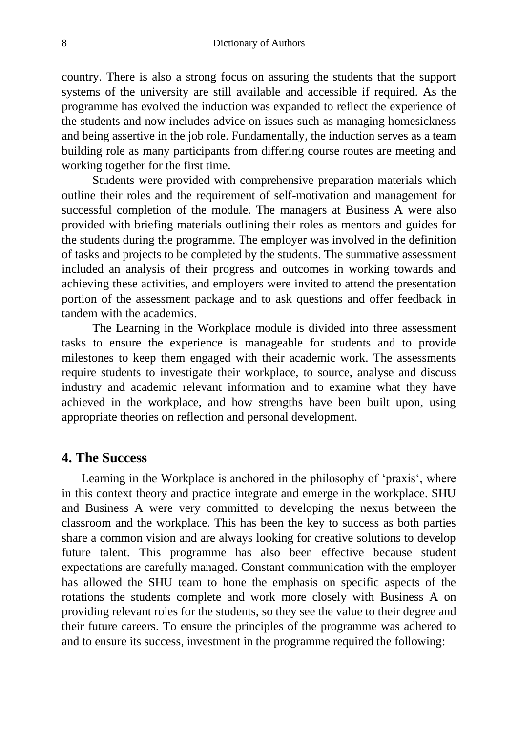country. There is also a strong focus on assuring the students that the support systems of the university are still available and accessible if required. As the programme has evolved the induction was expanded to reflect the experience of the students and now includes advice on issues such as managing homesickness and being assertive in the job role. Fundamentally, the induction serves as a team building role as many participants from differing course routes are meeting and working together for the first time.

Students were provided with comprehensive preparation materials which outline their roles and the requirement of self-motivation and management for successful completion of the module. The managers at Business A were also provided with briefing materials outlining their roles as mentors and guides for the students during the programme. The employer was involved in the definition of tasks and projects to be completed by the students. The summative assessment included an analysis of their progress and outcomes in working towards and achieving these activities, and employers were invited to attend the presentation portion of the assessment package and to ask questions and offer feedback in tandem with the academics.

The Learning in the Workplace module is divided into three assessment tasks to ensure the experience is manageable for students and to provide milestones to keep them engaged with their academic work. The assessments require students to investigate their workplace, to source, analyse and discuss industry and academic relevant information and to examine what they have achieved in the workplace, and how strengths have been built upon, using appropriate theories on reflection and personal development.

#### **4. The Success**

Learning in the Workplace is anchored in the philosophy of 'praxis', where in this context theory and practice integrate and emerge in the workplace. SHU and Business A were very committed to developing the nexus between the classroom and the workplace. This has been the key to success as both parties share a common vision and are always looking for creative solutions to develop future talent. This programme has also been effective because student expectations are carefully managed. Constant communication with the employer has allowed the SHU team to hone the emphasis on specific aspects of the rotations the students complete and work more closely with Business A on providing relevant roles for the students, so they see the value to their degree and their future careers. To ensure the principles of the programme was adhered to and to ensure its success, investment in the programme required the following: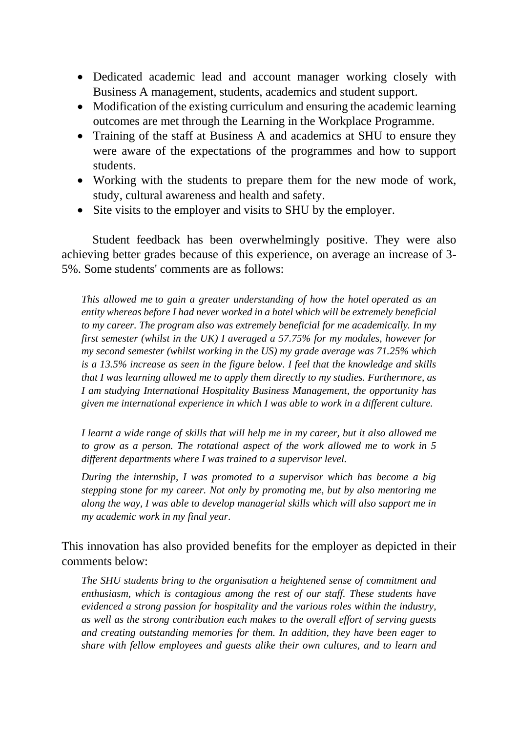- Dedicated academic lead and account manager working closely with Business A management, students, academics and student support.
- Modification of the existing curriculum and ensuring the academic learning outcomes are met through the Learning in the Workplace Programme.
- Training of the staff at Business A and academics at SHU to ensure they were aware of the expectations of the programmes and how to support students.
- Working with the students to prepare them for the new mode of work, study, cultural awareness and health and safety.
- Site visits to the employer and visits to SHU by the employer.

Student feedback has been overwhelmingly positive. They were also achieving better grades because of this experience, on average an increase of 3- 5%. Some students' comments are as follows:

*This allowed me to gain a greater understanding of how the hotel operated as an entity whereas before I had never worked in a hotel which will be extremely beneficial to my career. The program also was extremely beneficial for me academically. In my first semester (whilst in the UK) I averaged a 57.75% for my modules, however for my second semester (whilst working in the US) my grade average was 71.25% which is a 13.5% increase as seen in the figure below. I feel that the knowledge and skills that I was learning allowed me to apply them directly to my studies. Furthermore, as I am studying International Hospitality Business Management, the opportunity has given me international experience in which I was able to work in a different culture.*

*I learnt a wide range of skills that will help me in my career, but it also allowed me to grow as a person. The rotational aspect of the work allowed me to work in 5 different departments where I was trained to a supervisor level.* 

*During the internship, I was promoted to a supervisor which has become a big stepping stone for my career. Not only by promoting me, but by also mentoring me along the way, I was able to develop managerial skills which will also support me in my academic work in my final year*.

This innovation has also provided benefits for the employer as depicted in their comments below:

*The SHU students bring to the organisation a heightened sense of commitment and enthusiasm, which is contagious among the rest of our staff. These students have evidenced a strong passion for hospitality and the various roles within the industry, as well as the strong contribution each makes to the overall effort of serving guests and creating outstanding memories for them. In addition, they have been eager to share with fellow employees and guests alike their own cultures, and to learn and*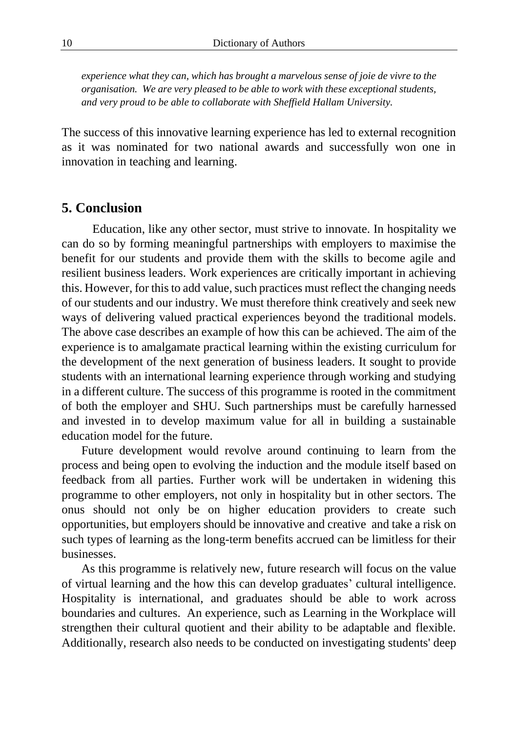*experience what they can, which has brought a marvelous sense of joie de vivre to the organisation. We are very pleased to be able to work with these exceptional students, and very proud to be able to collaborate with Sheffield Hallam University.*

The success of this innovative learning experience has led to external recognition as it was nominated for two national awards and successfully won one in innovation in teaching and learning.

#### **5. Conclusion**

Education, like any other sector, must strive to innovate. In hospitality we can do so by forming meaningful partnerships with employers to maximise the benefit for our students and provide them with the skills to become agile and resilient business leaders. Work experiences are critically important in achieving this. However, for this to add value, such practices must reflect the changing needs of our students and our industry. We must therefore think creatively and seek new ways of delivering valued practical experiences beyond the traditional models. The above case describes an example of how this can be achieved. The aim of the experience is to amalgamate practical learning within the existing curriculum for the development of the next generation of business leaders. It sought to provide students with an international learning experience through working and studying in a different culture. The success of this programme is rooted in the commitment of both the employer and SHU. Such partnerships must be carefully harnessed and invested in to develop maximum value for all in building a sustainable education model for the future.

Future development would revolve around continuing to learn from the process and being open to evolving the induction and the module itself based on feedback from all parties. Further work will be undertaken in widening this programme to other employers, not only in hospitality but in other sectors. The onus should not only be on higher education providers to create such opportunities, but employers should be innovative and creative and take a risk on such types of learning as the long-term benefits accrued can be limitless for their businesses.

As this programme is relatively new, future research will focus on the value of virtual learning and the how this can develop graduates' cultural intelligence. Hospitality is international, and graduates should be able to work across boundaries and cultures. An experience, such as Learning in the Workplace will strengthen their cultural quotient and their ability to be adaptable and flexible. Additionally, research also needs to be conducted on investigating students' deep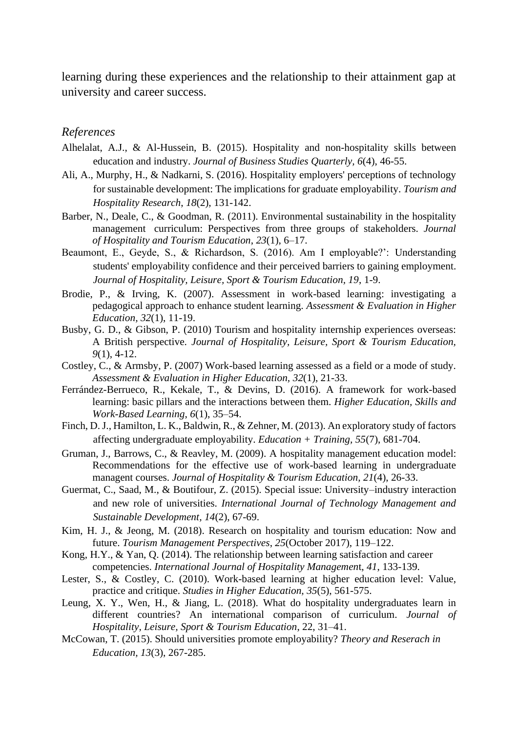learning during these experiences and the relationship to their attainment gap at university and career success.

#### *References*

- Alhelalat, A.J., & Al-Hussein, B. (2015). Hospitality and non-hospitality skills between education and industry. *Journal of Business Studies Quarterly, 6*(4), 46-55.
- Ali, A., Murphy, H., & Nadkarni, S. (2016). Hospitality employers' perceptions of technology for sustainable development: The implications for graduate employability. *Tourism and Hospitality Research*, *18*(2), 131-142.
- Barber, N., Deale, C., & Goodman, R. (2011). Environmental sustainability in the hospitality management curriculum: Perspectives from three groups of stakeholders. *Journal of Hospitality and Tourism Education*, *23*(1), 6–17.
- Beaumont, E., Geyde, S., & Richardson, S. (2016). Am I employable?': Understanding students' employability confidence and their perceived barriers to gaining employment. *Journal of Hospitality, Leisure, Sport & Tourism Education, 19*, 1-9.
- Brodie, P., & Irving, K. (2007). Assessment in work-based learning: investigating a pedagogical approach to enhance student learning. *Assessment & Evaluation in Higher Education, 32*(1), 11-19.
- Busby, G. D., & Gibson, P. (2010) Tourism and hospitality internship experiences overseas: A British perspective. *Journal of Hospitality, Leisure, Sport & Tourism Education, 9*(1), 4-12.
- Costley, C., & Armsby, P. (2007) Work-based learning assessed as a field or a mode of study. *Assessment & Evaluation in Higher Education, 32*(1), 21-33.
- Ferrández-Berrueco, R., Kekale, T., & Devins, D. (2016). A framework for work-based learning: basic pillars and the interactions between them. *Higher Education, Skills and Work-Based Learning*, *6*(1), 35–54.
- Finch, D. J., Hamilton, L. K., Baldwin, R., & Zehner, M. (2013). An exploratory study of factors affecting undergraduate employability. *Education + Training, 55*(7), 681-704.
- Gruman, J., Barrows, C., & Reavley, M. (2009). A hospitality management education model: Recommendations for the effective use of work-based learning in undergraduate managent courses. *Journal of Hospitality & Tourism Education, 21*(4), 26-33.
- Guermat, C., Saad, M., & Boutifour, Z. (2015). Special issue: University–industry interaction and new role of universities. *International Journal of Technology Management and Sustainable Development, 14*(2), 67-69.
- Kim, H. J., & Jeong, M. (2018). Research on hospitality and tourism education: Now and future. *Tourism Management Perspectives*, *25*(October 2017), 119–122.
- Kong, H.Y., & Yan, Q. (2014). The relationship between learning satisfaction and career competencies. *International Journal of Hospitality Managemen*t, *41*, 133-139.
- Lester, S., & Costley, C. (2010). Work-based learning at higher education level: Value, practice and critique. *Studies in Higher Education, 35*(5), 561-575.
- Leung, X. Y., Wen, H., & Jiang, L. (2018). What do hospitality undergraduates learn in different countries? An international comparison of curriculum. *Journal of Hospitality, Leisure, Sport & Tourism Education*, 22, 31–41.
- McCowan, T. (2015). Should universities promote employability? *Theory and Reserach in Education, 13*(3), 267-285.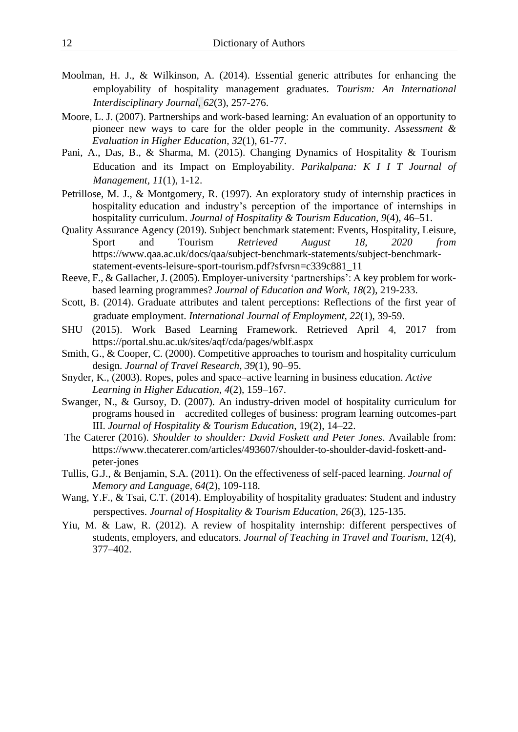- Moolman, H. J., & Wilkinson, A. (2014). Essential generic attributes for enhancing the employability of hospitality management graduates. *Tourism: An International Interdisciplinary Journal*, *62*(3), 257-276.
- Moore, L. J. (2007). Partnerships and work-based learning: An evaluation of an opportunity to pioneer new ways to care for the older people in the community. *Assessment & Evaluation in Higher Education, 32*(1), 61-77.
- Pani, A., Das, B., & Sharma, M. (2015). Changing Dynamics of Hospitality & Tourism Education and its Impact on Employability. *Parikalpana: K I I T Journal of Management, 11*(1), 1-12.
- Petrillose, M. J., & Montgomery, R. (1997). An exploratory study of internship practices in hospitality education and industry's perception of the importance of internships in hospitality curriculum. *Journal of Hospitality & Tourism Education, 9*(4), 46–51.
- Quality Assurance Agency (2019). Subject benchmark statement: Events, Hospitality, Leisure, Sport and Tourism *Retrieved August 18, 2020 from* https://www.qaa.ac.uk/docs/qaa/subject-benchmark-statements/subject-benchmarkstatement-events-leisure-sport-tourism.pdf?sfvrsn=c339c881\_11
- Reeve, F., & Gallacher, J. (2005). Employer-university 'partnerships': A key problem for workbased learning programmes? *Journal of Education and Work, 18*(2), 219-233.
- Scott, B. (2014). Graduate attributes and talent perceptions: Reflections of the first year of graduate employment. *International Journal of Employment, 22*(1), 39-59.
- SHU (2015). Work Based Learning Framework. Retrieved April 4, 2017 from https://portal.shu.ac.uk/sites/aqf/cda/pages/wblf.aspx
- Smith, G., & Cooper, C. (2000). Competitive approaches to tourism and hospitality curriculum design. *Journal of Travel Research*, *39*(1), 90–95.
- Snyder, K., (2003). Ropes, poles and space–active learning in business education. *Active Learning in Higher Education*, *4*(2), 159–167.
- Swanger, N., & Gursoy, D. (2007). An industry-driven model of hospitality curriculum for programs housed in accredited colleges of business: program learning outcomes-part III. *Journal of Hospitality & Tourism Education*, 19(2), 14–22.
- The Caterer (2016). *Shoulder to shoulder: David Foskett and Peter Jones*. Available from: https://www.thecaterer.com/articles/493607/shoulder-to-shoulder-david-foskett-andpeter-jones
- Tullis, G.J., & Benjamin, S.A. (2011). On the effectiveness of self-paced learning. *Journal of Memory and Language*, *64*(2), 109-118.
- Wang, Y.F., & Tsai, C.T. (2014). Employability of hospitality graduates: Student and industry perspectives. *Journal of Hospitality & Tourism Education, 26*(3), 125-135.
- Yiu, M. & Law, R. (2012). A review of hospitality internship: different perspectives of students, employers, and educators. *Journal of Teaching in Travel and Tourism*, 12(4), 377–402.